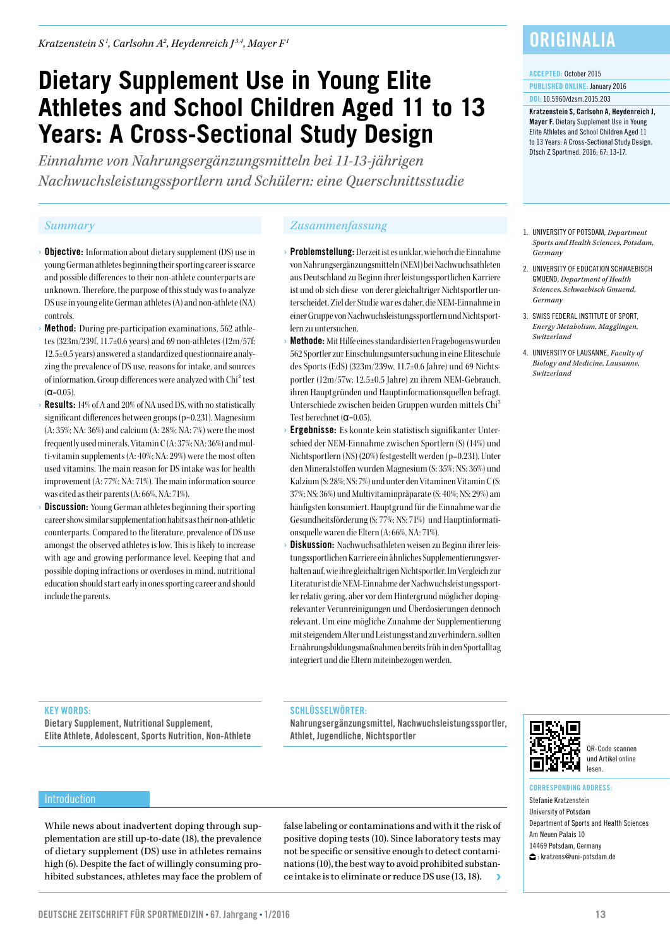# **Dietary Supplement Use in Young Elite Athletes and School Children Aged 11 to 13 Years: A Cross-Sectional Study Design**

*Einnahme von Nahrungsergänzungsmitteln bei 11-13-jährigen Nachwuchsleistungssportlern und Schülern: eine Querschnittsstudie*

- **Objective:** Information about dietary supplement (DS) use in young German athletes beginning their sporting career is scarce and possible differences to their non-athlete counterparts are unknown. Therefore, the purpose of this study was to analyze DS use in young elite German athletes (A) and non-athlete (NA) controls.
- Method: During pre-participation examinations, 562 athletes (323m/239f, 11.7±0.6 years) and 69 non-athletes (12m/57f; 12.5±0.5 years) answered a standardized questionnaire analyzing the prevalence of DS use, reasons for intake, and sources of information. Group differences were analyzed with Chi² test  $(\alpha = 0.05)$ .
- **Results:** 14% of A and 20% of NA used DS, with no statistically significant differences between groups (p=0.231). Magnesium (A: 35%; NA: 36%) and calcium (A: 28%; NA: 7%) were the most frequently used minerals. Vitamin C (A: 37%; NA: 36%) and multi-vitamin supplements (A: 40%; NA: 29%) were the most often used vitamins. The main reason for DS intake was for health improvement (A: 77%; NA: 71%). The main information source was cited as their parents (A: 66%, NA: 71%).
- **Discussion:** Young German athletes beginning their sporting career show similar supplementation habits as their non-athletic counterparts. Compared to the literature, prevalence of DS use amongst the observed athletes is low. This is likely to increase with age and growing performance level. Keeping that and possible doping infractions or overdoses in mind, nutritional education should start early in ones sporting career and should include the parents.

### *Summary Zusammenfassung*

- › Problemstellung: Derzeit ist es unklar, wie hoch die Einnahme von Nahrungsergänzungsmitteln (NEM) bei Nachwuchsathleten aus Deutschland zu Beginn ihrer leistungssportlichen Karriere ist und ob sich diese von derer gleichaltriger Nichtsportler unterscheidet. Ziel der Studie war es daher, die NEM-Einnahme in einer Gruppe von Nachwuchsleistungssportlern und Nichtsportlern zu untersuchen.
- › Methode: Mit Hilfe eines standardisierten Fragebogens wurden 562 Sportler zur Einschulungsuntersuchung in eine Eliteschule des Sports (EdS) (323m/239w, 11.7±0.6 Jahre) und 69 Nichtsportler (12m/57w; 12.5±0.5 Jahre) zu ihrem NEM-Gebrauch, ihren Hauptgründen und Hauptinformationsquellen befragt. Unterschiede zwischen beiden Gruppen wurden mittels Chi² Test berechnet (α=0.05).
- Ergebnisse: Es konnte kein statistisch signifikanter Unterschied der NEM-Einnahme zwischen Sportlern (S) (14%) und Nichtsportlern (NS) (20%) festgestellt werden (p=0.231). Unter den Mineralstoffen wurden Magnesium (S: 35%; NS: 36%) und Kalzium (S: 28%; NS: 7%) und unter den Vitaminen Vitamin C (S: 37%; NS: 36%) und Multivitaminpräparate (S: 40%; NS: 29%) am häufigsten konsumiert. Hauptgrund für die Einnahme war die Gesundheitsförderung (S: 77%; NS: 71%) und Hauptinformationsquelle waren die Eltern (A: 66%, NA: 71%).
- Diskussion: Nachwuchsathleten weisen zu Beginn ihrer leistungssportlichen Karriere ein ähnliches Supplementierungsverhalten auf, wie ihre gleichaltrigen Nichtsportler. Im Vergleich zur Literatur ist die NEM-Einnahme der Nachwuchsleistungssportler relativ gering, aber vor dem Hintergrund möglicher dopingrelevanter Verunreinigungen und Überdosierungen dennoch relevant. Um eine mögliche Zunahme der Supplementierung mit steigendem Alter und Leistungsstand zu verhindern, sollten Ernährungsbildungsmaßnahmen bereits früh in den Sportalltag integriert und die Eltern miteinbezogen werden.

## **ORIGINALIA**

#### ACCEPTED: October 2015

PUBLISHED ONLINE: January 2016 DOI: 10.5960/dzsm.2015.203

Kratzenstein S, Carlsohn A, Heydenreich J, Mayer F. Dietary Supplement Use in Young Elite Athletes and School Children Aged 11 to 13 Years: A Cross-Sectional Study Design. Dtsch Z Sportmed. 2016; 67: 13-17.

- 1. UNIVERSITY OF POTSDAM, *Department Sports and Health Sciences, Potsdam, Germany*
- 2. UNIVERSITY OF EDUCATION SCHWAEBISCH GMUEND, *Department of Health Sciences, Schwaebisch Gmuend, Germany*
- 3. SWISS FEDERAL INSTITUTE OF SPORT, *Energy Metabolism, Magglingen, Switzerland*
- 4. UNIVERSITY OF LAUSANNE, *Faculty of Biology and Medicine, Lausanne, Switzerland*

### KEY WORDS:

**Introduction** 

Dietary Supplement, Nutritional Supplement, Elite Athlete, Adolescent, Sports Nutrition, Non-Athlete

#### SCHLÜSSELWÖRTER:

Nahrungsergänzungsmittel, Nachwuchsleistungssportler, Athlet, Jugendliche, Nichtsportler



QR-Code scannen und Artikel online lesen.

While news about inadvertent doping through supplementation are still up-to-date (18), the prevalence of dietary supplement (DS) use in athletes remains high (6). Despite the fact of willingly consuming prohibited substances, athletes may face the problem of false labeling or contaminations and with it the risk of positive doping tests (10). Since laboratory tests may not be specific or sensitive enough to detect contaminations (10), the best way to avoid prohibited substance intake is to eliminate or reduce DS use (13, 18).



CORRESPONDING ADDRESS:

Stefanie Kratzenstein University of Potsdam Department of Sports and Health Sciences Am Neuen Palais 10 14469 Potsdam, Germany : kratzens@uni-potsdam.de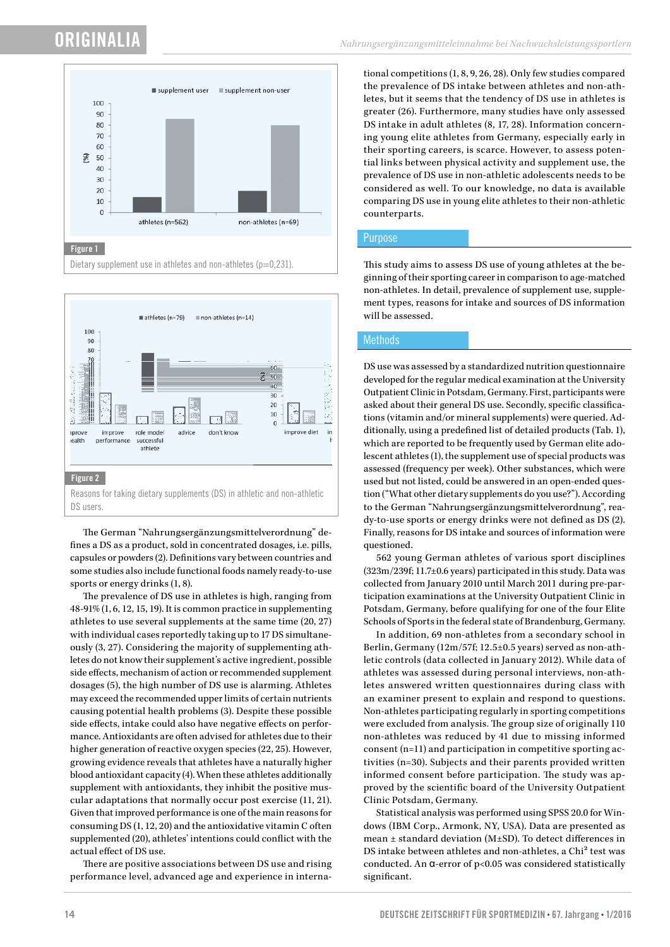## ORIGINALIA





The German "Nahrungsergänzungsmittelverordnung" defines a DS as a product, sold in concentrated dosages, i.e. pills, capsules or powders (2). Definitions vary between countries and some studies also include functional foods namely ready-to-use sports or energy drinks (1, 8).

The prevalence of DS use in athletes is high, ranging from 48-91% (1, 6, 12, 15, 19). It is common practice in supplementing athletes to use several supplements at the same time (20, 27) with individual cases reportedly taking up to 17 DS simultaneously (3, 27). Considering the majority of supplementing athletes do not know their supplement's active ingredient, possible side effects, mechanism of action or recommended supplement dosages (5), the high number of DS use is alarming. Athletes may exceed the recommended upper limits of certain nutrients causing potential health problems (3). Despite these possible side effects, intake could also have negative effects on performance. Antioxidants are often advised for athletes due to their higher generation of reactive oxygen species (22, 25). However, growing evidence reveals that athletes have a naturally higher blood antioxidant capacity (4). When these athletes additionally supplement with antioxidants, they inhibit the positive muscular adaptations that normally occur post exercise (11, 21). Given that improved performance is one of the main reasons for consuming DS (1, 12, 20) and the antioxidative vitamin C often supplemented (20), athletes' intentions could conflict with the actual effect of DS use.

There are positive associations between DS use and rising performance level, advanced age and experience in international competitions (1, 8, 9, 26, 28). Only few studies compared the prevalence of DS intake between athletes and non-athletes, but it seems that the tendency of DS use in athletes is greater (26). Furthermore, many studies have only assessed DS intake in adult athletes (8, 17, 28). Information concerning young elite athletes from Germany, especially early in their sporting careers, is scarce. However, to assess potential links between physical activity and supplement use, the prevalence of DS use in non-athletic adolescents needs to be considered as well. To our knowledge, no data is available comparing DS use in young elite athletes to their non-athletic counterparts.

#### Purpose

This study aims to assess DS use of young athletes at the beginning of their sporting career in comparison to age-matched non-athletes. In detail, prevalence of supplement use, supplement types, reasons for intake and sources of DS information will be assessed.

#### **Methods**

DS use was assessed by a standardized nutrition questionnaire developed for the regular medical examination at the University Outpatient Clinic in Potsdam, Germany. First, participants were asked about their general DS use. Secondly, specific classifications (vitamin and/or mineral supplements) were queried. Additionally, using a predefined list of detailed products (Tab. 1), which are reported to be frequently used by German elite adolescent athletes (1), the supplement use of special products was assessed (frequency per week). Other substances, which were used but not listed, could be answered in an open-ended question ("What other dietary supplements do you use?"). According to the German "Nahrungsergänzungsmittelverordnung", ready-to-use sports or energy drinks were not defined as DS (2). Finally, reasons for DS intake and sources of information were questioned.

562 young German athletes of various sport disciplines (323m/239f; 11.7±0.6 years) participated in this study. Data was collected from January 2010 until March 2011 during pre-participation examinations at the University Outpatient Clinic in Potsdam, Germany, before qualifying for one of the four Elite Schools of Sports in the federal state of Brandenburg, Germany.

In addition, 69 non-athletes from a secondary school in Berlin, Germany (12m/57f; 12.5±0.5 years) served as non-athletic controls (data collected in January 2012). While data of athletes was assessed during personal interviews, non-athletes answered written questionnaires during class with an examiner present to explain and respond to questions. Non-athletes participating regularly in sporting competitions were excluded from analysis. The group size of originally 110 non-athletes was reduced by 41 due to missing informed consent (n=11) and participation in competitive sporting activities (n=30). Subjects and their parents provided written informed consent before participation. The study was approved by the scientific board of the University Outpatient Clinic Potsdam, Germany.

Statistical analysis was performed using SPSS 20.0 for Windows (IBM Corp., Armonk, NY, USA). Data are presented as mean ± standard deviation (M±SD). To detect differences in DS intake between athletes and non-athletes, a Chi<sup>2</sup> test was conducted. An α-error of p<0.05 was considered statistically significant.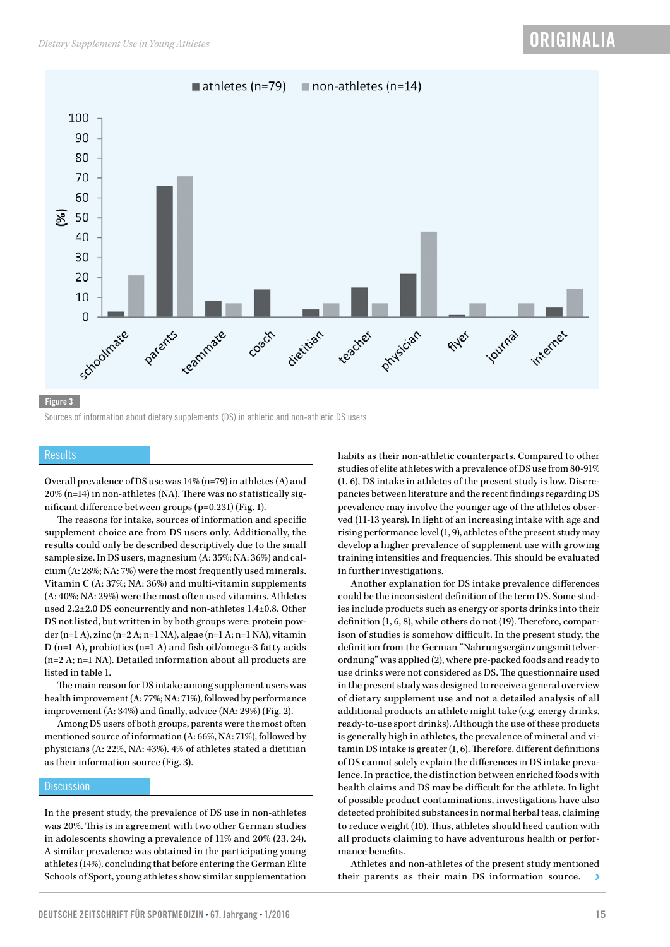



#### **Results**

Overall prevalence of DS use was 14% (n=79) in athletes (A) and 20% (n=14) in non-athletes (NA). There was no statistically significant difference between groups (p=0.231) (Fig. 1).

The reasons for intake, sources of information and specific supplement choice are from DS users only. Additionally, the results could only be described descriptively due to the small sample size. In DS users, magnesium (A: 35%; NA: 36%) and calcium (A: 28%; NA: 7%) were the most frequently used minerals. Vitamin C (A: 37%; NA: 36%) and multi-vitamin supplements (A: 40%; NA: 29%) were the most often used vitamins. Athletes used 2.2±2.0 DS concurrently and non-athletes 1.4±0.8. Other DS not listed, but written in by both groups were: protein powder (n=1 A), zinc (n=2 A; n=1 NA), algae (n=1 A; n=1 NA), vitamin D (n=1 A), probiotics (n=1 A) and fish oil/omega-3 fatty acids (n=2 A; n=1 NA). Detailed information about all products are listed in table 1.

The main reason for DS intake among supplement users was health improvement (A: 77%; NA: 71%), followed by performance improvement (A: 34%) and finally, advice (NA: 29%) (Fig. 2).

Among DS users of both groups, parents were the most often mentioned source of information (A: 66%, NA: 71%), followed by physicians (A: 22%, NA: 43%). 4% of athletes stated a dietitian as their information source (Fig. 3).

#### **Discussion**

In the present study, the prevalence of DS use in non-athletes was 20%. This is in agreement with two other German studies in adolescents showing a prevalence of 11% and 20% (23, 24). A similar prevalence was obtained in the participating young athletes (14%), concluding that before entering the German Elite Schools of Sport, young athletes show similar supplementation

habits as their non-athletic counterparts. Compared to other studies of elite athletes with a prevalence of DS use from 80-91% (1, 6), DS intake in athletes of the present study is low. Discrepancies between literature and the recent findings regarding DS prevalence may involve the younger age of the athletes observed (11-13 years). In light of an increasing intake with age and rising performance level (1, 9), athletes of the present study may develop a higher prevalence of supplement use with growing training intensities and frequencies. This should be evaluated in further investigations.

Another explanation for DS intake prevalence differences could be the inconsistent definition of the term DS. Some studies include products such as energy or sports drinks into their definition (1, 6, 8), while others do not (19). Therefore, comparison of studies is somehow difficult. In the present study, the definition from the German "Nahrungsergänzungsmittelverordnung" was applied (2), where pre-packed foods and ready to use drinks were not considered as DS. The questionnaire used in the present study was designed to receive a general overview of dietary supplement use and not a detailed analysis of all additional products an athlete might take (e.g. energy drinks, ready-to-use sport drinks). Although the use of these products is generally high in athletes, the prevalence of mineral and vitamin DS intake is greater (1, 6). Therefore, different definitions of DS cannot solely explain the differences in DS intake prevalence. In practice, the distinction between enriched foods with health claims and DS may be difficult for the athlete. In light of possible product contaminations, investigations have also detected prohibited substances in normal herbal teas, claiming to reduce weight (10). Thus, athletes should heed caution with all products claiming to have adventurous health or performance benefits.

Athletes and non-athletes of the present study mentioned their parents as their main DS information source.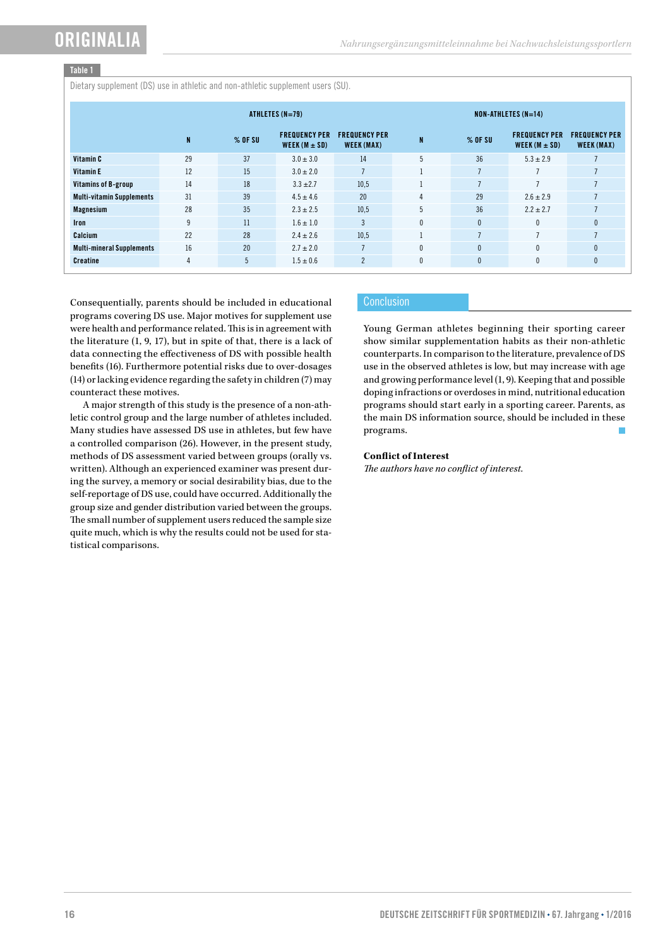### Table 1

Dietary supplement (DS) use in athletic and non-athletic supplement users (SU).

|                                  | ATHLETES (N=79) |           |                                           |                                    | $NON-ATHLETES (N=14)$ |              |                                           |                                    |
|----------------------------------|-----------------|-----------|-------------------------------------------|------------------------------------|-----------------------|--------------|-------------------------------------------|------------------------------------|
|                                  | $\mathbf{N}$    | $%$ OF SU | <b>FREQUENCY PER</b><br>WEEK $(M \pm SD)$ | <b>FREQUENCY PER</b><br>WEEK (MAX) | $\mathbf{N}$          | $%$ OF SU    | <b>FREQUENCY PER</b><br>WEEK $(M \pm SD)$ | <b>FREQUENCY PER</b><br>WEEK (MAX) |
| Vitamin C                        | 29              | 37        | $3.0 \pm 3.0$                             | 14                                 | 5                     | 36           | $5.3 \pm 2.9$                             |                                    |
| Vitamin E                        | 12              | 15        | $3.0 \pm 2.0$                             | $\overline{7}$                     |                       | $\mathbf{r}$ |                                           |                                    |
| Vitamins of B-group              | 14              | 18        | $3.3 \pm 2.7$                             | 10.5                               |                       |              | $\mathbf{r}$                              | $\overline{ }$                     |
| <b>Multi-vitamin Supplements</b> | 31              | 39        | $4.5 \pm 4.6$                             | 20                                 | 4                     | 29           | $2.6 \pm 2.9$                             | $\overline{ }$                     |
| Magnesium                        | 28              | 35        | $2.3 \pm 2.5$                             | 10.5                               | 5                     | 36           | $2.2 \pm 2.7$                             |                                    |
| <b>Iron</b>                      | 9               | 11        | $1.6 \pm 1.0$                             | 3                                  | 0                     | $\mathbf{0}$ | $\mathbf{0}$                              | $\mathbf{0}$                       |
| Calcium                          | 22              | 28        | $2.4 \pm 2.6$                             | 10.5                               |                       |              |                                           | $\overline{ }$                     |
| <b>Multi-mineral Supplements</b> | 16              | 20        | $2.7 \pm 2.0$                             | $\overline{ }$                     | 0                     | $\mathbf{0}$ | $\mathbf{0}$                              | 0                                  |
| <b>Creatine</b>                  | $\overline{4}$  | 5         | $1.5 \pm 0.6$                             | $\overline{2}$                     | 0                     | $\mathbf{0}$ | $\mathbf{0}$                              | $\mathbf{0}$                       |

Consequentially, parents should be included in educational programs covering DS use. Major motives for supplement use were health and performance related. This is in agreement with the literature (1, 9, 17), but in spite of that, there is a lack of data connecting the effectiveness of DS with possible health benefits (16). Furthermore potential risks due to over-dosages (14) or lacking evidence regarding the safety in children (7) may counteract these motives.

A major strength of this study is the presence of a non-athletic control group and the large number of athletes included. Many studies have assessed DS use in athletes, but few have a controlled comparison (26). However, in the present study, methods of DS assessment varied between groups (orally vs. written). Although an experienced examiner was present during the survey, a memory or social desirability bias, due to the self-reportage of DS use, could have occurred. Additionally the group size and gender distribution varied between the groups. The small number of supplement users reduced the sample size quite much, which is why the results could not be used for statistical comparisons.

#### **Conclusion**

Young German athletes beginning their sporting career show similar supplementation habits as their non-athletic counterparts. In comparison to the literature, prevalence of DS use in the observed athletes is low, but may increase with age and growing performance level (1, 9). Keeping that and possible doping infractions or overdoses in mind, nutritional education programs should start early in a sporting career. Parents, as the main DS information source, should be included in these programs.

#### **Conflict of Interest**

*The authors have no conflict of interest.*